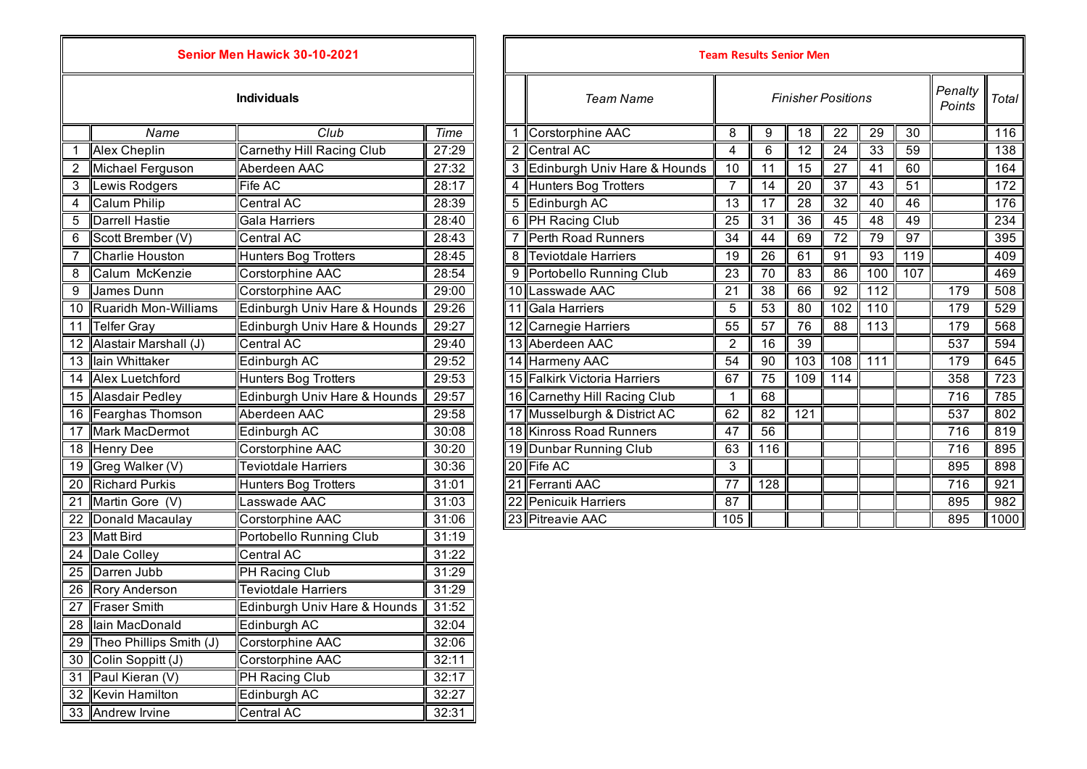| Senior Men Hawick 30-10-2021 |                         |                                  |       |  |  |  |
|------------------------------|-------------------------|----------------------------------|-------|--|--|--|
| <b>Individuals</b>           |                         |                                  |       |  |  |  |
|                              | Name                    | Club                             | Time  |  |  |  |
| 1                            | Alex Cheplin            | <b>Carnethy Hill Racing Club</b> | 27:29 |  |  |  |
| $\overline{2}$               | <b>Michael Ferguson</b> | Aberdeen AAC                     | 27:32 |  |  |  |
| 3                            | Lewis Rodgers           | Fife AC                          | 28:17 |  |  |  |
| 4                            | <b>Calum Philip</b>     | Central AC                       | 28:39 |  |  |  |
| 5                            | <b>Darrell Hastie</b>   | Gala Harriers                    | 28:40 |  |  |  |
| 6                            | Scott Brember (V)       | <b>Central AC</b>                | 28:43 |  |  |  |
| 7                            | Charlie Houston         | <b>Hunters Bog Trotters</b>      | 28:45 |  |  |  |
| 8                            | Calum McKenzie          | Corstorphine AAC                 | 28:54 |  |  |  |
| 9                            | James Dunn              | <b>Corstorphine AAC</b>          | 29:00 |  |  |  |
| 10                           | Ruaridh Mon-Williams    | Edinburgh Univ Hare & Hounds     | 29:26 |  |  |  |
| 11                           | <b>Telfer Gray</b>      | Edinburgh Univ Hare & Hounds     | 29:27 |  |  |  |
| 12 <sup>1</sup>              | Alastair Marshall (J)   | <b>Central AC</b>                | 29:40 |  |  |  |
| 13                           | lain Whittaker          | Edinburgh AC                     | 29:52 |  |  |  |
| 14                           | Alex Luetchford         | <b>Hunters Bog Trotters</b>      | 29:53 |  |  |  |
| 15                           | <b>Alasdair Pedley</b>  | Edinburgh Univ Hare & Hounds     | 29:57 |  |  |  |
| 16                           | Fearghas Thomson        | Aberdeen AAC                     | 29:58 |  |  |  |
| 17                           | <b>Mark MacDermot</b>   | Edinburgh AC                     | 30:08 |  |  |  |
| $\overline{18}$              | <b>Henry Dee</b>        | <b>Corstorphine AAC</b>          | 30:20 |  |  |  |
| 19                           | Greg Walker (V)         | <b>Teviotdale Harriers</b>       | 30:36 |  |  |  |
| 20                           | <b>Richard Purkis</b>   | <b>Hunters Bog Trotters</b>      | 31:01 |  |  |  |
| 21                           | Martin Gore (V)         | Lasswade AAC                     | 31:03 |  |  |  |
| $\overline{22}$              | Donald Macaulay         | Corstorphine AAC                 | 31:06 |  |  |  |
| 23                           | <b>Matt Bird</b>        | Portobello Running Club          | 31:19 |  |  |  |
|                              | 24 Dale Colley          | <b>Central AC</b>                | 31:22 |  |  |  |
| 25                           | Darren Jubb             | PH Racing Club                   | 31:29 |  |  |  |
|                              | 26 Rory Anderson        | <b>Teviotdale Harriers</b>       | 31:29 |  |  |  |
|                              | 27 Fraser Smith         | Edinburgh Univ Hare & Hounds     | 31:52 |  |  |  |
| 28 <sub>1</sub>              | lain MacDonald          | Edinburgh AC                     | 32:04 |  |  |  |
| 29                           | Theo Phillips Smith (J) | Corstorphine AAC                 | 32:06 |  |  |  |
| 30 <sup>1</sup>              | Colin Soppitt (J)       | Corstorphine AAC                 | 32:11 |  |  |  |
| 31                           | Paul Kieran (V)         | PH Racing Club                   | 32:17 |  |  |  |
| 32                           | <b>Kevin Hamilton</b>   | Edinburgh AC                     | 32:27 |  |  |  |
|                              | 33 Andrew Irvine        | Central AC                       | 32:31 |  |  |  |

| Senior Men Hawick 30-10-2021 |                          |                              |                    |   | <b>Team Results Senior Men</b>                |     |                 |                 |                   |                  |     |                  |      |
|------------------------------|--------------------------|------------------------------|--------------------|---|-----------------------------------------------|-----|-----------------|-----------------|-------------------|------------------|-----|------------------|------|
| <b>Individuals</b>           |                          |                              |                    |   | <b>Finisher Positions</b><br><b>Team Name</b> |     |                 |                 | Penalty<br>Points | Total            |     |                  |      |
|                              | Name                     | Club                         | Time               |   | 1 Corstorphine AAC                            | 8   | 9               | 18              | 22                | 29               | 30  |                  | 116  |
|                              | <b>Alex Cheplin</b>      | Carnethy Hill Racing Club    | 27:29              |   | 2 Central AC                                  | 4   | 6               | 12              | 24                | 33               | 59  |                  | 138  |
|                              | Michael Ferguson         | Aberdeen AAC                 | 27:32              |   | 3 Edinburgh Univ Hare & Hounds                | 10  | 11              | 15              | 27                | 41               | 60  |                  | 164  |
| 3                            | Lewis Rodgers            | Fife AC                      | 28:17              |   | 4 Hunters Bog Trotters                        |     | 14              | 20              | 37                | 43               | 51  |                  | 172  |
| 4                            | Calum Philip             | Central AC                   | 28:39              |   | 5 Edinburgh AC                                | 13  | 17              | 28              | 32                | 40               | 46  |                  | 176  |
| 5                            | Darrell Hastie           | Gala Harriers                | 28:40              |   | 6 PH Racing Club                              | 25  | 31              | 36              | 45                | 48               | 49  |                  | 234  |
| 6                            | Scott Brember (V)        | Central AC                   | 28:43              |   | 7 Perth Road Runners                          | 34  | 44              | 69              | 72                | 79               | 97  |                  | 395  |
|                              | Charlie Houston          | <b>Hunters Bog Trotters</b>  | 28:45              | 8 | <b>Teviotdale Harriers</b>                    | 19  | $\overline{26}$ | 61              | 91                | $\overline{93}$  | 119 |                  | 409  |
| 8                            | Calum McKenzie           | Corstorphine AAC             | 28:54              |   | 9 Portobello Running Club                     | 23  | 70              | 83              | 86                | 100              | 107 |                  | 469  |
| $\overline{9}$               | James Dunn               | Corstorphine AAC             | $\overline{29:}00$ |   | 10 Lasswade AAC                               | 21  | $\overline{38}$ | 66              | $\overline{92}$   | $\overline{112}$ |     | 179              | 508  |
|                              | 10 Ruaridh Mon-Williams  | Edinburgh Univ Hare & Hounds | 29:26              |   | 11 Gala Harriers                              | 5   | $\overline{53}$ | $\overline{80}$ | 102               | 110              |     | 179              | 529  |
|                              | 11 Telfer Gray           | Edinburgh Univ Hare & Hounds | 29:27              |   | 12 Carnegie Harriers                          | 55  | 57              | 76              | 88                | 113              |     | 179              | 568  |
|                              | 12 Alastair Marshall (J) | Central AC                   | 29:40              |   | 13 Aberdeen AAC                               | 2   | 16              | 39              |                   |                  |     | 537              | 594  |
|                              | 13 lain Whittaker        | Edinburgh AC                 | 29:52              |   | 14 Harmeny AAC                                | 54  | 90              | 103             | 108               | 111              |     | 179              | 645  |
|                              | 14 Alex Luetchford       | <b>Hunters Bog Trotters</b>  | 29:53              |   | 15 Falkirk Victoria Harriers                  | 67  | 75              | 109             | 114               |                  |     | 358              | 723  |
|                              | 15 Alasdair Pedley       | Edinburgh Univ Hare & Hounds | 29:57              |   | 16 Carnethy Hill Racing Club                  |     | 68              |                 |                   |                  |     | 716              | 785  |
|                              | 16 Fearghas Thomson      | Aberdeen AAC                 | 29:58              |   | 17 Musselburgh & District AC                  | 62  | $\overline{82}$ | 121             |                   |                  |     | $\overline{537}$ | 802  |
| $\overline{17}$              | <b>Mark MacDermot</b>    | Edinburgh AC                 | 30:08              |   | 18 Kinross Road Runners                       | 47  | 56              |                 |                   |                  |     | $\overline{716}$ | 819  |
|                              | 18 Henry Dee             | Corstorphine AAC             | 30:20              |   | 19 Dunbar Running Club                        | 63  | 116             |                 |                   |                  |     | $\overline{716}$ | 895  |
|                              | 19 Greg Walker (V)       | <b>Teviotdale Harriers</b>   | 30:36              |   | 20 Fife AC                                    | 3   |                 |                 |                   |                  |     | 895              | 898  |
|                              | 20 Richard Purkis        | Hunters Bog Trotters         | 31:01              |   | 21 Ferranti AAC                               | 77  | 128             |                 |                   |                  |     | 716              | 921  |
|                              | 21 Martin Gore (V)       | Lasswade AAC                 | 31:03              |   | 22 Penicuik Harriers                          | 87  |                 |                 |                   |                  |     | 895              | 982  |
|                              | 22 Donald Macaulay       | Corstorphine AAC             | 31:06              |   | 23 Pitreavie AAC                              | 105 |                 |                 |                   |                  |     | 895              | 1000 |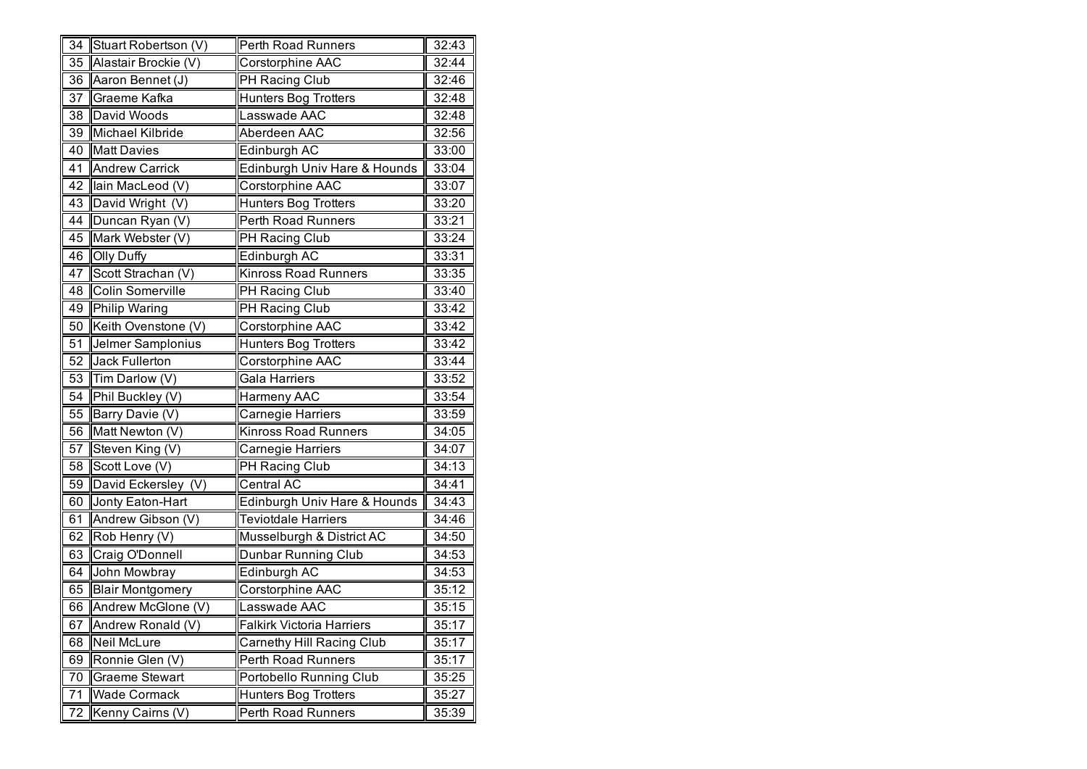| 34              | Stuart Robertson (V)    | Perth Road Runners               | 32:43 |
|-----------------|-------------------------|----------------------------------|-------|
| 35              | Alastair Brockie (V)    | Corstorphine AAC                 | 32:44 |
| 36              | Aaron Bennet (J)        | PH Racing Club                   | 32:46 |
| 37              | Graeme Kafka            | <b>Hunters Bog Trotters</b>      | 32:48 |
| 38              | David Woods             | Lasswade AAC                     | 32:48 |
| 39              | Michael Kilbride        | Aberdeen AAC                     | 32:56 |
| 40              | <b>Matt Davies</b>      | Edinburgh AC                     | 33:00 |
| 41              | <b>Andrew Carrick</b>   | Edinburgh Univ Hare & Hounds     | 33:04 |
| 42              | lain MacLeod (V)        | Corstorphine AAC                 | 33:07 |
| 43              | David Wright (V)        | <b>Hunters Bog Trotters</b>      | 33:20 |
| 44              | Duncan Ryan (V)         | Perth Road Runners               | 33:21 |
| 45              | Mark Webster (V)        | PH Racing Club                   | 33:24 |
| 46              | <b>Olly Duffy</b>       | Edinburgh AC                     | 33:31 |
| 47              | Scott Strachan (V)      | <b>Kinross Road Runners</b>      | 33:35 |
| 48              | Colin Somerville        | PH Racing Club                   | 33:40 |
| 49              | <b>Philip Waring</b>    | PH Racing Club                   | 33:42 |
| 50              | Keith Ovenstone (V)     | Corstorphine AAC                 | 33:42 |
| 51              | Jelmer Samplonius       | <b>Hunters Bog Trotters</b>      | 33:42 |
| 52              | <b>Jack Fullerton</b>   | Corstorphine AAC                 | 33:44 |
| 53              | Tim Darlow (V)          | Gala Harriers                    | 33:52 |
| 54              | Phil Buckley (V)        | Harmeny AAC                      | 33:54 |
| $5\overline{5}$ | Barry Davie (V)         | Carnegie Harriers                | 33:59 |
| 56              | Matt Newton (V)         | <b>Kinross Road Runners</b>      | 34:05 |
| 57              | Steven King (V)         | Carnegie Harriers                | 34:07 |
| 58              | Scott Love (V)          | PH Racing Club                   | 34:13 |
| 59              | David Eckersley (V)     | Central AC                       | 34:41 |
| 60              | Jonty Eaton-Hart        | Edinburgh Univ Hare & Hounds     | 34:43 |
| 61              | Andrew Gibson (V)       | <b>Teviotdale Harriers</b>       | 34:46 |
| 62              | Rob Henry (V)           | Musselburgh & District AC        | 34:50 |
| 63              | Craig O'Donnell         | Dunbar Running Club              | 34:53 |
| 64              | John Mowbray            | Edinburgh AC                     | 34:53 |
| 65              | <b>Blair Montgomery</b> | Corstorphine AAC                 | 35:12 |
| 66              | Andrew McGlone (V)      | Lasswade AAC                     | 35:15 |
| 67              | Andrew Ronald (V)       | <b>Falkirk Victoria Harriers</b> | 35:17 |
| 68              | Neil McLure             | Carnethy Hill Racing Club        | 35:17 |
| 69              | Ronnie Glen (V)         | Perth Road Runners               | 35:17 |
| 70              | <b>Graeme Stewart</b>   | Portobello Running Club          | 35:25 |
| 71              | <b>Wade Cormack</b>     | <b>Hunters Bog Trotters</b>      | 35:27 |
| 72              | Kenny Cairns (V)        | <b>Perth Road Runners</b>        | 35:39 |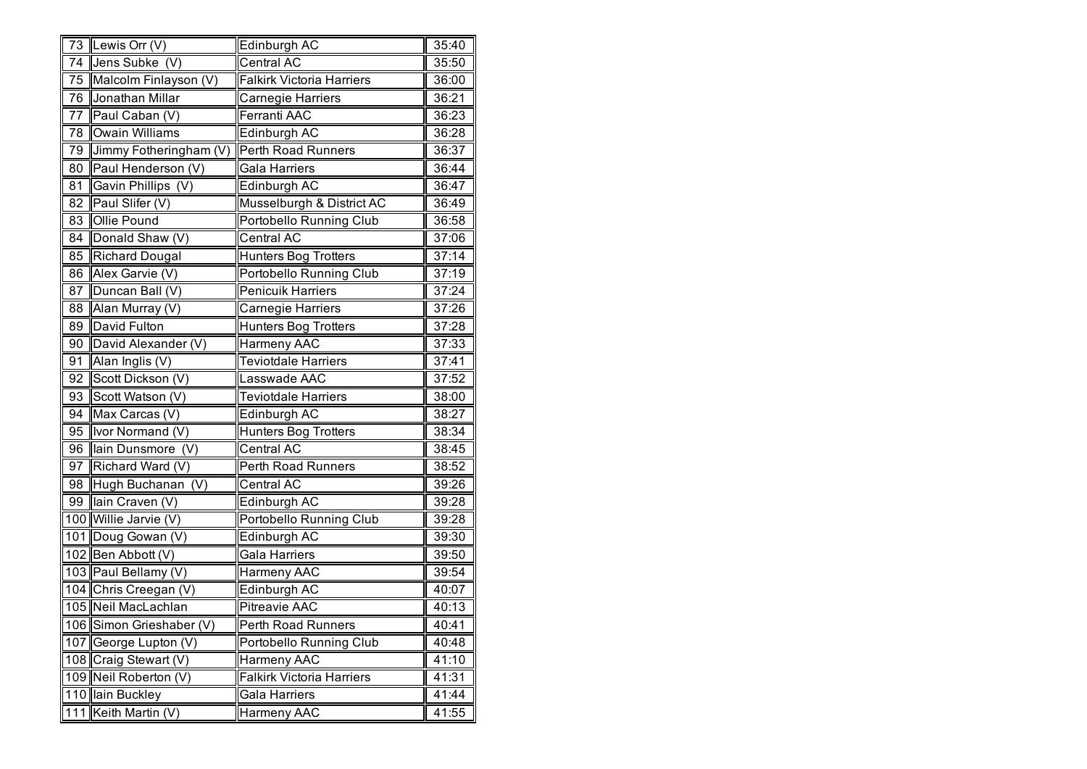|    | 73 Lewis Orr $(V)$       | Edinburgh AC                     | 35:40 |
|----|--------------------------|----------------------------------|-------|
| 74 | Jens Subke (V)           | Central AC                       | 35:50 |
| 75 | Malcolm Finlayson (V)    | <b>Falkirk Victoria Harriers</b> | 36:00 |
| 76 | Jonathan Millar          | Carnegie Harriers                | 36:21 |
| 77 | Paul Caban (V)           | Ferranti AAC                     | 36:23 |
| 78 | Owain Williams           | Edinburgh AC                     | 36:28 |
| 79 | Jimmy Fotheringham (V)   | Perth Road Runners               | 36:37 |
| 80 | Paul Henderson (V)       | Gala Harriers                    | 36:44 |
| 81 | Gavin Phillips (V)       | Edinburgh AC                     | 36:47 |
| 82 | Paul Slifer (V)          | Musselburgh & District AC        | 36:49 |
| 83 | Ollie Pound              | Portobello Running Club          | 36:58 |
| 84 | Donald Shaw (V)          | Central AC                       | 37:06 |
| 85 | <b>Richard Dougal</b>    | <b>Hunters Bog Trotters</b>      | 37:14 |
| 86 | Alex Garvie (V)          | Portobello Running Club          | 37:19 |
| 87 | Duncan Ball (V)          | <b>Penicuik Harriers</b>         | 37:24 |
| 88 | Alan Murray (V)          | Carnegie Harriers                | 37:26 |
| 89 | David Fulton             | <b>Hunters Bog Trotters</b>      | 37:28 |
| 90 | David Alexander (V)      | Harmeny AAC                      | 37:33 |
| 91 | Alan Inglis (V)          | <b>Teviotdale Harriers</b>       | 37:41 |
| 92 | Scott Dickson (V)        | Lasswade AAC                     | 37:52 |
| 93 | Scott Watson (V)         | <b>Teviotdale Harriers</b>       | 38:00 |
| 94 | Max Carcas (V)           | Edinburgh AC                     | 38:27 |
| 95 | Ivor Normand (V)         | Hunters Bog Trotters             | 38:34 |
| 96 | lain Dunsmore (V)        | Central AC                       | 38:45 |
| 97 | Richard Ward (V)         | Perth Road Runners               | 38:52 |
| 98 | Hugh Buchanan (V)        | Central AC                       | 39:26 |
| 99 | lain Craven (V)          | Edinburgh AC                     | 39:28 |
|    | 100 Willie Jarvie (V)    | Portobello Running Club          | 39:28 |
|    | 101 Doug Gowan (V)       | Edinburgh AC                     | 39:30 |
|    | 102 Ben Abbott (V)       | Gala Harriers                    | 39:50 |
|    | 103 Paul Bellamy (V)     | Harmeny AAC                      | 39:54 |
|    | 104 Chris Creegan (V)    | Edinburgh AC                     | 40:07 |
|    | 105 Neil MacLachlan      | <b>Pitreavie AAC</b>             | 40:13 |
|    | 106 Simon Grieshaber (V) | Perth Road Runners               | 40:41 |
|    | 107 George Lupton (V)    | Portobello Running Club          | 40:48 |
|    | 108 Craig Stewart (V)    | Harmeny AAC                      | 41:10 |
|    | 109 Neil Roberton (V)    | <b>Falkirk Victoria Harriers</b> | 41:31 |
|    | 110 lain Buckley         | Gala Harriers                    | 41:44 |
|    | 111 Keith Martin (V)     | Harmeny AAC                      | 41:55 |